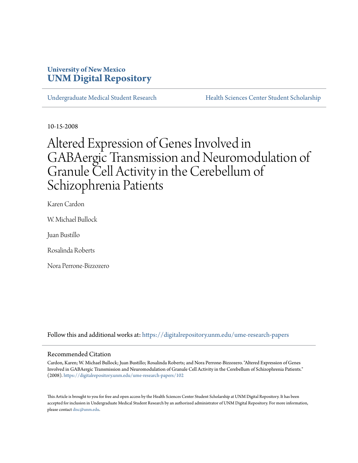## **University of New Mexico [UNM Digital Repository](https://digitalrepository.unm.edu?utm_source=digitalrepository.unm.edu%2Fume-research-papers%2F102&utm_medium=PDF&utm_campaign=PDFCoverPages)**

[Undergraduate Medical Student Research](https://digitalrepository.unm.edu/ume-research-papers?utm_source=digitalrepository.unm.edu%2Fume-research-papers%2F102&utm_medium=PDF&utm_campaign=PDFCoverPages) [Health Sciences Center Student Scholarship](https://digitalrepository.unm.edu/hsc-students?utm_source=digitalrepository.unm.edu%2Fume-research-papers%2F102&utm_medium=PDF&utm_campaign=PDFCoverPages)

10-15-2008

# Altered Expression of Genes Involved in GABAergic Transmission and Neuromodulation of Granule Cell Activity in the Cerebellum of Schizophrenia Patients

Karen Cardon

W. Michael Bullock

Juan Bustillo

Rosalinda Roberts

Nora Perrone-Bizzozero

Follow this and additional works at: [https://digitalrepository.unm.edu/ume-research-papers](https://digitalrepository.unm.edu/ume-research-papers?utm_source=digitalrepository.unm.edu%2Fume-research-papers%2F102&utm_medium=PDF&utm_campaign=PDFCoverPages)

### Recommended Citation

Cardon, Karen; W. Michael Bullock; Juan Bustillo; Rosalinda Roberts; and Nora Perrone-Bizzozero. "Altered Expression of Genes Involved in GABAergic Transmission and Neuromodulation of Granule Cell Activity in the Cerebellum of Schizophrenia Patients." (2008). [https://digitalrepository.unm.edu/ume-research-papers/102](https://digitalrepository.unm.edu/ume-research-papers/102?utm_source=digitalrepository.unm.edu%2Fume-research-papers%2F102&utm_medium=PDF&utm_campaign=PDFCoverPages)

This Article is brought to you for free and open access by the Health Sciences Center Student Scholarship at UNM Digital Repository. It has been accepted for inclusion in Undergraduate Medical Student Research by an authorized administrator of UNM Digital Repository. For more information, please contact [disc@unm.edu.](mailto:disc@unm.edu)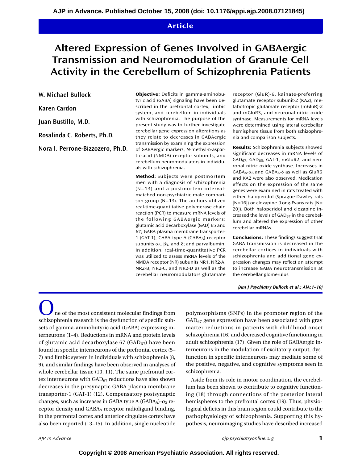## **Article**

## **Altered Expression of Genes Involved in GABAergic Transmission and Neuromodulation of Granule Cell Activity in the Cerebellum of Schizophrenia Patients**

**W. Michael Bullock**

**Karen Cardon**

**Juan Bustillo, M.D.**

**Rosalinda C. Roberts, Ph.D.**

**Nora I. Perrone-Bizzozero, Ph.D.**

**Objective:** Deficits in gamma-aminobutyric acid (GABA) signaling have been described in the prefrontal cortex, limbic system, and cerebellum in individuals with schizophrenia. The purpose of the present study was to further investigate cerebellar gene expression alterations as they relate to decreases in GABAergic transmission by examining the expression of GABAergic markers, *N*-methyl-D-aspartic-acid (NMDA) receptor subunits, and cerebellum neuromodulators in individuals with schizophrenia.

**Method:** Subjects were postmortem men with a diagnosis of schizophrenia (N=13) and a postmortem intervalmatched non-psychiatric male comparison group (N=13). The authors utilized real-time-quantitative polymerase chain reaction (PCR) to measure mRNA levels of the following GABAergic markers: glutamic acid decarboxylase (GAD) 65 and 67; GABA plasma membrane transporter-1 (GAT-1); GABA type A (GABAA) receptor subunits  $\alpha_6$ ,  $\beta_3$ , and  $\delta$ ; and parvalbumin. In addition, real-time-quantitative PCR was utilized to assess mRNA levels of the NMDA receptor (NR) subunits NR1, NR2-A, NR2-B, NR2-C, and NR2-D as well as the cerebellar neuromodulators glutamate receptor (GluR)-6, kainate-preferring glutamate receptor subunit-2 (KA2), metabotropic glutamate receptor (mGluR)-2 and mGluR3, and neuronal nitric oxide synthase. Measurements for mRNA levels were determined using lateral cerebellar hemisphere tissue from both schizophrenia and comparison subjects.

**Results:** Schizophrenia subjects showed significant decreases in mRNA levels of GAD67, GAD65, GAT-1, mGluR2, and neuronal nitric oxide synthase. Increases in GABA<sub>A</sub>- $\alpha$ <sub>6</sub> and GABA<sub>A</sub>- $\delta$  as well as GluR6 and KA2 were also observed. Medication effects on the expression of the same genes were examined in rats treated with either haloperidol (Sprague-Dawley rats [N=16]) or clozapine (Long-Evans rats [N= 20]). Both haloperidol and clozapine increased the levels of  $GAD_{67}$  in the cerebellum and altered the expression of other cerebellar mRNAs.

**Conclusions:** These findings suggest that GABA transmission is decreased in the cerebellar cortices in individuals with schizophrenia and additional gene expression changes may reflect an attempt to increase GABA neurotransmission at the cerebellar glomerulus.

*(Am J Psychiatry Bullock et al.; AiA:1–10)*

ne of the most consistent molecular findings from schizophrenia research is the dysfunction of specific subsets of gamma-aminobutyric acid (GABA) expressing interneurons (1–4). Reductions in mRNA and protein levels of glutamic acid decarboxylase  $67$  (GAD $_{67}$ ) have been found in specific interneurons of the prefrontal cortex (5– 7) and limbic system in individuals with schizophrenia (8, 9), and similar findings have been observed in analyses of whole cerebellar tissue (10, 11). The same prefrontal cortex interneurons with  $GAD_{67}$  reductions have also shown decreases in the presynaptic GABA plasma membrane transporter-1 (GAT-1) (12). Compensatory postsynaptic changes, such as increases in GABA type A (GABAA)-α2 receptor density and GABAA receptor radioligand binding, in the prefrontal cortex and anterior cingulate cortex have also been reported (13–15). In addition, single nucleotide

polymorphisms (SNPs) in the promoter region of the  $GAD<sub>67</sub>$  gene expression have been associated with gray matter reductions in patients with childhood onset schizophrenia (16) and decreased cognitive functioning in adult schizophrenia (17). Given the role of GABAergic interneurons in the modulation of excitatory output, dysfunction in specific interneurons may mediate some of the positive, negative, and cognitive symptoms seen in schizophrenia.

Aside from its role in motor coordination, the cerebellum has been shown to contribute to cognitive functioning (18) through connections of the posterior lateral hemispheres to the prefrontal cortex (19). Thus, physiological deficits in this brain region could contribute to the pathophysiology of schizophrenia. Supporting this hypothesis, neuroimaging studies have described increased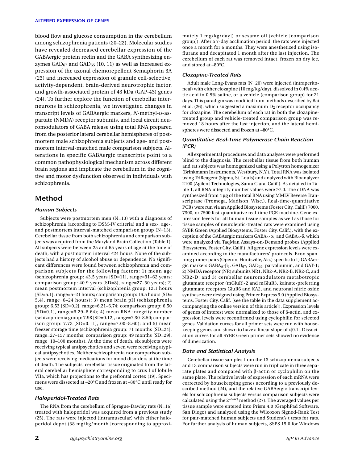blood flow and glucose consumption in the cerebellum among schizophrenia patients (20–22). Molecular studies have revealed decreased cerebellar expression of the GABAergic protein reelin and the GABA synthesizing enzymes  $GAD_{67}$  and  $GAD_{65}$  (10, 11) as well as increased expression of the axonal chemorepellent Semaphorin 3A (23) and increased expression of granule cell-selective, activity-dependent, brain-derived neurotrophic factor, and growth-associated protein of 43 kDa (GAP-43) genes (24). To further explore the function of cerebellar interneurons in schizophrenia, we investigated changes in transcript levels of GABAergic markers, *N*-methyl-D-aspartate (NMDA) receptor subunits, and local circuit neuromodulators of GABA release using total RNA prepared from the posterior lateral cerebellar hemispheres of postmortem male schizophrenia subjects and age- and postmortem interval-matched male comparison subjects. Alterations in specific GABAergic transcripts point to a common pathophysiological mechanism across different brain regions and implicate the cerebellum in the cognitive and motor dysfunction observed in individuals with schizophrenia.

## **Method**

#### *Human Subjects*

Subjects were postmortem men (N=13) with a diagnosis of schizophrenia (according to DSM-IV criteria) and a sex-, age-, and postmortem interval-matched comparison group (N=13). Cerebellar tissue from both schizophrenia and comparison subjects was acquired from the Maryland Brain Collection (Table 1). All subjects were between 25 and 65 years of age at the time of death, with a postmortem interval ≤24 hours. None of the subjects had a history of alcohol abuse or dependence. No significant differences were found between schizophrenia and comparison subjects for the following factors: 1) mean age (schizophrenia group: 43.5 years [SD=11], range=31–62 years; comparison group: 40.9 years [SD=8], range=27–50 years); 2) mean postmortem interval (schizophrenia group: 12.1 hours [SD=5.1], range=5–21 hours; comparison group: 16.5 hours [SD= 5.4], range=6–24 hours); 3) mean brain pH (schizophrenia group: 6.53 [SD=0.2], range=6.21–6.74; comparison group: 6.50 [SD=0.1], range=6.29–6.64); 4) mean RNA integrity number (schizophrenia group: 7.98 [SD=0.12], range=7.30–8.50; comparison group: 7.73 [SD=0.11], range=7.00–8.60); and 5) mean freezer storage time (schizophrenia group: 71 months [SD=24], range=27–157 months; comparison group: 49 months [SD=29], range=10–100 months). At the time of death, six subjects were receiving typical antipsychotics and seven were receiving atypical antipsychotics. Neither schizophrenia nor comparison subjects were receiving medications for mood disorders at the time of death. The subjects' cerebellar tissue originated from the lateral cerebellar hemisphere corresponding to crus I of lobule VIIa, which has projections to the prefrontal cortex (19). Specimens were dissected at –20°C and frozen at –80°C until ready for use.

#### *Haloperidol-Treated Rats*

The RNA from the cerebellum of Sprague-Dawley rats (N=16) treated with haloperidol was acquired from a previous study (25). The rats were injected (intramuscular) with either haloperidol depot (38 mg/kg/month [corresponding to approxi-

mately 1 mg/kg/day]) or sesame oil (vehicle [comparison group]). After a 7-day acclimation period, the rats were injected once a month for 6 months. They were anesthetized using isoflurane and decapitated 1 month after the last injection. The cerebellum of each rat was removed intact, frozen on dry ice, and stored at –80°C.

#### *Clozapine-Treated Rats*

Adult male Long-Evans rats (N=20) were injected (intraperitoneal) with either clozapine (10 mg/kg/day), dissolved in 0.4% acetic acid in 0.9% saline, or a vehicle (comparison group) for 21 days. This paradigm was modified from methods described by Bai et al. (26), which suggested a maximum  $D_2$  receptor occupancy for clozapine. The cerebellum of each rat in both the clozapinetreated group and vehicle-treated comparison group was removed 18 hours after the last injection, and the lateral hemispheres were dissected and frozen at –80°C.

#### *Quantitative Real-Time Polymerase Chain Reaction (PCR)*

All experimental procedures and data analyses were performed blind to the diagnosis. The cerebellar tissue from both human and rat subjects was homogenized using a Polytron homogenizer (Brinkmann Instruments, Westbury, N.Y.). Total RNA was isolated using TriReagent (Sigma, St. Louis) and analyzed with Bioanalyzer 2100 (Agilent Technologies, Santa Clara, Calif.). As detailed in Table 1, all RNA integrity number values were ≥7.0. The cDNA was synthesized from 4 µg of the total RNA using MMLV Reverse Transcriptase (Promega, Madison, Wisc.). Real-time-quantitative PCRs were run via an Applied Biosystems (Foster City, Calif.) 7000, 7300, or 7500 fast-quantitative real-time PCR machine. Gene expression levels for all human tissue samples as well as those for tissue samples of neuroleptic-treated rats were examined using SYBR Green (Applied Biosystems, Foster City, Calif.), with the exception of the GABAergic markers  $GABA_A-α_6$  and  $GABA_A-δ$ , which were analyzed via TaqMan Assays-on-Demand probes (Applied Biosystems, Foster City, Calif.). All gene expression levels were examined according to the manufacturers' protocols. Exon spanning primer pairs (Operon, Huntsville, Ala.) specific to 1) GABAergic markers  $GABA_A-B_3$ ,  $GAD_{67}$ ,  $GAD_{65}$ , parvalbumin, and  $GAT-1$ ; 2) NMDA receptor (NR) subunits NR1, NR2-A, NR2-B, NR2-C, and NR2-D; and 3) cerebellar neuromodulators metabotropic glutamate receptor (mGluR)-2 and mGluR3, kainate-preferring glutamate receptors GluR6 and KA2, and neuronal nitric oxide synthase were designed using Primer Express 3.0 (Applied Biosystems, Foster City, Calif. [see the table in the data supplement accompanying the online version of this article]). Expression levels of genes of interest were normalized to those of β-actin, and expression levels were reconfirmed using cyclophilin for selected genes. Validation curves for all primer sets were run with housekeeping genes and shown to have a linear slope of <|0.1|. Dissociation curves for all SYBR Green primer sets showed no evidence of dimerization.

#### *Data and Statistical Analysis*

Cerebellar tissue samples from the 13 schizophrenia subjects and 13 comparison subjects were run in triplicate in three separate plates and compared with β-actin or cyclophilin on the same plate. The relative levels of expression of each mRNA were corrected by housekeeping genes according to a previously described method (24), and the relative GABAergic transcript levels for schizophrenia subjects versus comparison subjects were calculated using the 2–∆∆ct method (27). The averaged values per tissue sample were entered into Prism 4.0 (GraphPad Software, San Diego) and analyzed using the Wilcoxon Signed-Rank Test for pair-matched human subjects and Student's t tests for rats. For further analysis of human subjects, SSPS 15.0 for Windows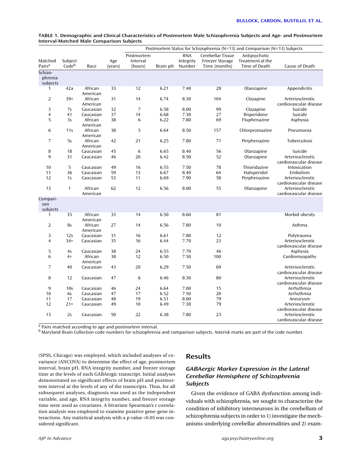|                                |                  |                     |                | Postmortem Status for Schizophrenia (N=13) and Comparison (N=13) Subjects |          |                                   |                                                              |                                                    |                                            |  |  |
|--------------------------------|------------------|---------------------|----------------|---------------------------------------------------------------------------|----------|-----------------------------------|--------------------------------------------------------------|----------------------------------------------------|--------------------------------------------|--|--|
| Matched<br>Pairs <sup>a</sup>  | Subject<br>Codeb | Race                | Age<br>(years) | Postmortem<br>Interval<br>(hours)                                         | Brain pH | <b>RNA</b><br>Integrity<br>Number | Cerebellar Tissue<br><b>Freezer Storage</b><br>Time (months) | Antipsychotic<br>Treatment at the<br>Time of Death | Cause of Death                             |  |  |
| Schizo-<br>phrenia<br>subjects |                  |                     |                |                                                                           |          |                                   |                                                              |                                                    |                                            |  |  |
| 1                              | 42a              | African<br>American | 33             | 12                                                                        | 6.21     | 7.40                              | 28                                                           | Olanzapine                                         | Appendicitis                               |  |  |
| $\overline{2}$                 | 39*              | African<br>American | 31             | 14                                                                        | 6.74     | 8.30                              | 104                                                          | Clozapine                                          | Arteriosclerotic<br>cardiovascular disease |  |  |
| 3                              | 7s               | Caucasian           | 32             | 7                                                                         | 6.58     | 8.00                              | 99                                                           | Clozapine                                          | Suicide                                    |  |  |
| $\overline{\mathbf{4}}$        | 41               | Caucasian           | 37             | 14                                                                        | 6.68     | 7.30                              | 27                                                           | Risperidone                                        | Suicide                                    |  |  |
| 5                              | 3s               | African             | 38             | 6                                                                         | 6.22     | 7.80                              | 69                                                           | Fluphenazine                                       | Asphyxia                                   |  |  |
|                                |                  | American            |                |                                                                           |          |                                   |                                                              |                                                    |                                            |  |  |
| 6                              | 11s              | African<br>American | 38             | 5                                                                         | 6.64     | 8.50                              | 157                                                          | Chlorpromazine                                     | Pneumonia                                  |  |  |
| 7                              | 5s               | African<br>American | 42             | 21                                                                        | 6.25     | 7.80                              | 71                                                           | Perphenazine                                       | Tuberculosis                               |  |  |
| 8                              | 18               | Caucasian           | 45             | 6                                                                         | 6.65     | 8.40                              | 56                                                           | Olanzapine                                         | Suicide                                    |  |  |
| 9                              | 31               | Caucasian           | 46             | 20                                                                        | 6.42     | 8.50                              | 52                                                           | Olanzapine                                         | Arteriosclerotic<br>cardiovascular disease |  |  |
| 10                             | 5                | Caucasian           | 49             | 16                                                                        | 6.55     | 7.50                              | 78                                                           | Thioridazine                                       | Intoxication                               |  |  |
| 11                             | 36               | Caucasian           | 59             | 13                                                                        | 6.67     | 8.40                              | 64                                                           | Haloperidol                                        | Embolism                                   |  |  |
| 12                             | 1s               | Caucasian           | 53             | 11                                                                        | 6.69     | 7.90                              | 58                                                           | Perphenazine                                       | Arteriosclerotic<br>cardiovascular disease |  |  |
| 13                             | $\mathbf{1}$     | African<br>American | 62             | 12                                                                        | 6.56     | 8.00                              | 55                                                           | Olanzapine                                         | Arteriosclerotic<br>cardiovascular disease |  |  |
| Compari-<br>son<br>subjects    |                  |                     |                |                                                                           |          |                                   |                                                              |                                                    |                                            |  |  |
| 1                              | 35               | African<br>American | 33             | 14                                                                        | 6.50     | 8.60                              | 81                                                           |                                                    | Morbid obesity                             |  |  |
| $\overline{2}$                 | 8s               | African<br>American | 27             | 14                                                                        | 6.56     | 7.80                              | 10                                                           |                                                    | Asthma                                     |  |  |
| 3                              | 12s              | Caucasian           | 31             | 16                                                                        | 6.61     | 7.80                              | 12                                                           |                                                    | Polytrauma                                 |  |  |
| $\overline{4}$                 | $34*$            | Caucasian           | 35             | 16                                                                        | 6.44     | 7.70                              | 23                                                           |                                                    | Arteriosclerotic                           |  |  |
|                                |                  |                     |                |                                                                           |          |                                   |                                                              |                                                    | cardiovascular disease                     |  |  |
| 5                              | 4s               | Caucasian           | 38             | 24                                                                        | 6.55     | 7.70                              | 46                                                           |                                                    | Asphyxia                                   |  |  |
| 6                              | $4*$             | African<br>American | 38             | 12                                                                        | 6.50     | 7.50                              | 100                                                          |                                                    | Cardiomyopathy                             |  |  |
| 7                              | 40               | Caucasian           | 43             | 20                                                                        | 6.29     | 7.50                              | 69                                                           |                                                    | Arteriosclerotic<br>cardiovascular disease |  |  |
| 8                              | 12               | Caucasian           | 47             | 6                                                                         | 6.46     | 8.30                              | 80                                                           |                                                    | Arteriosclerotic<br>cardiovascular disease |  |  |
| 9                              | 10 <sub>s</sub>  | Caucasian           | 46             | 24                                                                        | 6.64     | 7.00                              | 15                                                           |                                                    | Arrhythmia                                 |  |  |
| 10                             | 6s               | Caucasian           | 47             | 17                                                                        | 6.52     | 7.50                              | 20                                                           |                                                    | Arrhythmia                                 |  |  |
| 11                             | 17               | Caucasian           | 48             | 19                                                                        | 6.51     | 8.00                              | 79                                                           |                                                    | Aneurysm                                   |  |  |
| 12                             | $21*$            | Caucasian           | 49             | 10                                                                        | 6.49     | 7.30                              | 79                                                           |                                                    | Arteriosclerotic                           |  |  |
|                                |                  |                     |                |                                                                           |          |                                   |                                                              |                                                    | cardiovascular disease                     |  |  |
| 13                             | 2s               | Caucasian           | 50             | 22                                                                        | 6.38     | 7.80                              | 23                                                           |                                                    | Arteriosclerotic<br>cardiovascular disease |  |  |

| TABLE 1. Demographic and Clinical Characteristics of Postmortem Male Schizophrenia Subjects and Age- and Postmortem |  |
|---------------------------------------------------------------------------------------------------------------------|--|
| Interval-Matched Male Comparison Subjects                                                                           |  |

a Pairs matched according to age and postmortem interval.

<sup>b</sup> Maryland Brain Collection code numbers for schizophrenia and comparison subjects. Asterisk marks are part of the code number.

(SPSS, Chicago) was employed, which included analyses of covariance (ANCOVA) to determine the effect of age, postmortem interval, brain pH, RNA integrity number, and freezer storage time at the levels of each GABAergic transcript. Initial analyses demonstrated no significant effects of brain pH and postmortem interval at the levels of any of the transcripts. Thus, for all subsequent analyses, diagnosis was used as the independent variable, and age, RNA integrity number, and freezer storage time were used as covariates. A bivariate Spearman's r correlation analysis was employed to examine putative gene-gene interactions. Any statistical analysis with a p value <0.05 was considered significant.

## **Results**

## *GABAergic Marker Expression in the Lateral Cerebellar Hemisphere of Schizophrenia Subjects*

Given the evidence of GABA dysfunction among individuals with schizophrenia, we sought to characterize the condition of inhibitory interneurons in the cerebellum of schizophrenia subjects in order to 1) investigate the mechanisms underlying cerebellar abnormalities and 2) exam-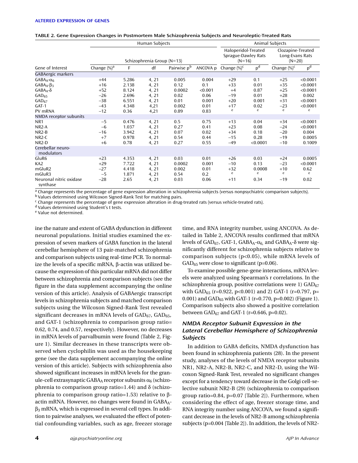|                                     |                 | Human Subjects             | Animal Subjects                                        |                         |                                                  |                 |                |                 |                |
|-------------------------------------|-----------------|----------------------------|--------------------------------------------------------|-------------------------|--------------------------------------------------|-----------------|----------------|-----------------|----------------|
|                                     |                 | Schizophrenia Group (N=13) | Haloperidol-Treated<br>Sprague-Dawley Rats<br>$(N=16)$ |                         | Clozapine-Treated<br>Long-Evans Rats<br>$(N=20)$ |                 |                |                 |                |
| Gene of Interest                    | Change $(\%)^a$ | F                          | df                                                     | Pairwise p <sup>b</sup> | ANCOVA p                                         | Change $(\%)^c$ | p <sup>d</sup> | Change $(\%)^c$ | p <sup>d</sup> |
| GABAergic markers                   |                 |                            |                                                        |                         |                                                  |                 |                |                 |                |
| $GABA_A-\alpha_6$                   | $+44$           | 5.286                      | 4, 21                                                  | 0.005                   | 0.004                                            | $+29$           | 0.1            | $+25$           | < 0.0001       |
| $GABA_A-\beta_3$                    | $+16$           | 2.138                      | 4, 21                                                  | 0.12                    | 0.1                                              | $+33$           | 0.01           | $+35$           | < 0.0001       |
| $GABA_A-\delta$                     | $+52$           | 8.124                      | 4, 21                                                  | 0.0002                  | < 0.001                                          | $+4$            | 0.87           | $+25$           | < 0.0001       |
| $GAD_{65}$                          | $-26$           | 2.696                      | 4, 21                                                  | 0.02                    | 0.06                                             | $-19$           | 0.01           | $+28$           | 0.002          |
| $GAD_{67}$                          | $-38$           | 6.551                      | 4, 21                                                  | 0.01                    | 0.001                                            | $+20$           | 0.001          | $+31$           | < 0.0001       |
| $GAT-1$                             | $-43$           | 4.348                      | 4,21                                                   | 0.002                   | 0.01                                             | $+17$           | 0.02           | $-23$           | < 0.0001       |
| PV mRNA                             | $-12$           | 0.36                       | 4,21                                                   | 0.89                    | 0.83                                             | e               | e              | e               | e              |
| NMDA receptor subunits              |                 |                            |                                                        |                         |                                                  |                 |                |                 |                |
| NR1                                 | $-5$            | 0.476                      | 4, 21                                                  | 0.5                     | 0.75                                             | $+13$           | 0.04           | $+34$           | < 0.0001       |
| $NR2-A$                             | $-6$            | 1.037                      | 4, 21                                                  | 0.27                    | 0.41                                             | $+23$           | 0.08           | $-24$           | < 0.0001       |
| $NR2-B$                             | $-16$           | 3.942                      | 4, 21                                                  | 0.07                    | 0.02                                             | $+34$           | 0.18           | $-20$           | 0.004          |
| NR <sub>2</sub> -C                  | $+7$            | 0.978                      | 4, 21                                                  | 0.54                    | 0.44                                             | $-15$           | 0.28           | $-19$           | 0.0005         |
| $NR2-D$                             | $+6$            | 0.78                       | 4, 21                                                  | 0.27                    | 0.55                                             | $-49$           | < 0.0001       | $-10$           | 0.1009         |
| Cerebellar neuro-<br>modulators     |                 |                            |                                                        |                         |                                                  |                 |                |                 |                |
| GluR <sub>6</sub>                   | $+23$           | 4.353                      | 4, 21                                                  | 0.03                    | 0.01                                             | $+26$           | 0.03           | $+24$           | 0.0005         |
| KA <sub>2</sub>                     | $+29$           | 7.722                      | 4, 21                                                  | 0.0002                  | 0.001                                            | $-10$           | 0.13           | $-23$           | < 0.0001       |
| mGluR2                              | $-27$           | 4.418                      | 4, 21                                                  | 0.002                   | 0.01                                             | $+32$           | 0.0008         | $+10$           | 0.62           |
| mGluR3                              | $-5$            | 1.871                      | 4, 21                                                  | 0.54                    | 0.2                                              | e               | e              | e               | e              |
| Neuronal nitric oxidase<br>synthase | $-28$           | 2.65                       | 4, 21                                                  | 0.03                    | 0.06                                             | $+11$           | 0.34           | $-19$           | 0.02           |

#### **TABLE 2. Gene Expression Changes in Postmortem Male Schizophrenia Subjects and Neuroleptic-Treated Rats**

<sup>a</sup> Change represents the percentage of gene expression alteration in schizophrenia subjects (versus nonpsychiatric comparison subjects). b Values determined using Wilcoxon Signed-Rank Test for matching pairs.

<sup>c</sup> Change represents the percentage of gene expression alteration in drug-treated rats (versus vehicle-treated rats).

<sup>d</sup> Values determined using Student's t tests.

<sup>e</sup> Value not determined.

ine the nature and extent of GABA dysfunction in different neuronal populations. Initial studies examined the expression of seven markers of GABA function in the lateral cerebellar hemisphere of 13 pair-matched schizophrenia and comparison subjects using real-time PCR. To normalize the levels of a specific mRNA, β-actin was utilized because the expression of this particular mRNA did not differ between schizophrenia and comparison subjects (see the figure in the data supplement accompanying the online version of this article). Analysis of GABAergic transcript levels in schizophrenia subjects and matched comparison subjects using the Wilcoxon Signed-Rank Test revealed significant decreases in mRNA levels of  $GAD_{67}$ ,  $GAD_{65}$ , and GAT-1 (schizophrenia to comparison group ratio= 0.62, 0.74, and 0.57, respectively). However, no decreases in mRNA levels of parvalbumin were found (Table 2, Figure 1). Similar decreases in these transcripts were observed when cyclophilin was used as the housekeeping gene (see the data supplement accompanying the online version of this article). Subjects with schizophrenia also showed significant increases in mRNA levels for the granule-cell extrasynaptic GABAA receptor subunits  $\alpha_6$  (schizophrenia to comparison group ratio=1.44) and δ (schizophrenia to comparison group ratio=1.53) relative to βactin mRNA. However, no changes were found in GABA<sub>A</sub>- $\beta_3$  mRNA, which is expressed in several cell types. In addition to pairwise analyses, we evaluated the effect of potential confounding variables, such as age, freezer storage

time, and RNA integrity number, using ANCOVA. As detailed in Table 2, ANCOVA results confirmed that mRNA levels of GAD<sub>67</sub>, GAT-1, GABA<sub>A</sub>- $\alpha$ <sub>6</sub> and GABA<sub>A</sub>-δ were significantly different for schizophrenia subjects relative to comparison subjects (p<0.05), while mRNA levels of  $GAD_{65}$  were close to significant (p=0.06).

To examine possible gene-gene interactions, mRNA levels were analyzed using Spearman's r correlations. In the schizophrenia group, positive correlations were  $1)$   $GAD_{67}$ with GAD<sub>65</sub> (r=0.922, p<0.001) and 2) GAT-1 (r=0.797, p= 0.001) and GAD $_{65}$  with GAT-1 (r=0.770, p=0.002) (Figure 1). Comparison subjects also showed a positive correlation between  $GAD_{67}$  and  $GAT-1$  (r=0.646, p=0.02).

## *NMDA Receptor Subunit Expression in the Lateral Cerebellar Hemisphere of Schizophrenia Subjects*

In addition to GABA deficits, NMDA dysfunction has been found in schizophrenia patients (28). In the present study, analyses of the levels of NMDA receptor subunits NR1, NR2-A, NR2-B, NR2-C, and NR2-D, using the Wilcoxon Signed-Rank Test, revealed no significant changes except for a tendency toward decrease in the Golgi cell-selective subunit NR2-B (29) (schizophrenia to comparison group ratio=0.84, p=0.07 [Table 2]). Furthermore, when considering the effect of age, freezer storage time, and RNA integrity number using ANCOVA, we found a significant decrease in the levels of NR2-B among schizophrenia subjects (p=0.004 [Table 2]). In addition, the levels of NR2-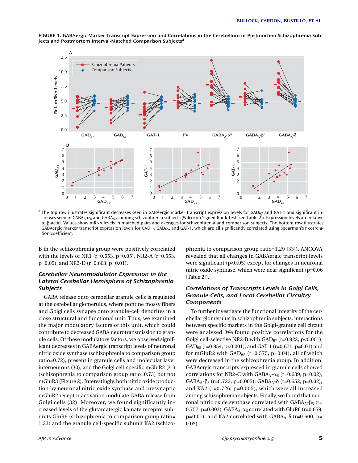

**FIGURE 1. GABAergic Marker Transcript Expression and Correlations in the Cerebellum of Postmortem Schizophrenia Subjects and Postmortem Interval-Matched Comparison Subjectsa**

<sup>a</sup> The top row illustrates significant decreases seen in GABAergic marker transcript expression levels for GAD<sub>67</sub> and GAT-1 and significant increases seen in GABAA-α6 and GABAA-δ among schizophrenia subjects (Wilcoxon Signed-Rank Test [see Table 2]). Expression levels are relative to β-actin. Values show mRNA levels in matched pairs and averages for schizophrenia and comparison subjects. The bottom row illustrates GABAergic marker transcript expression levels for GAD $_{67}$ , GAD $_{65}$ , and GAT-1, which are all significantly correlated using Spearman's r correlation coefficient.

B in the schizophrenia group were positively correlated with the levels of NR1 (r=0.553, p=0.05), NR2-A (r=0.553, p=0.05), and NR2-D (r=0.663, p=0.01).

## *Cerebellar Neuromodulator Expression in the Lateral Cerebellar Hemisphere of Schizophrenia Subjects*

GABA release onto cerebellar granule cells is regulated at the cerebellar glomerulus, where pontine mossy fibers and Golgi cells synapse onto granule-cell dendrites in a close structural and functional unit. Thus, we examined the major modulatory factors of this unit, which could contribute to decreased GABA neurotransmission to granule cells. Of these modulatory factors, we observed significant decreases in GABAergic transcript levels of neuronal nitric oxide synthase (schizophrenia to comparison group ratio=0.72), present in granule cells and molecular layer interneurons (30), and the Golgi cell-specific mGluR2 (31) (schizophrenia to comparison group ratio=0.73) but not mGluR3 (Figure 2). Interestingly, both nitric oxide production by neuronal nitric oxide synthase and presynaptic mGluR2 receptor activation modulate GABA release from Golgi cells (32). Moreover, we found significantly increased levels of the glutamatergic kainate receptor subunits GluR6 (schizophrenia to comparison group ratio= 1.23) and the granule cell-specific subunit KA2 (schizophrenia to comparison group ratio=1.29 [33]). ANCOVA revealed that all changes in GABAergic transcript levels were significant (p<0.05) except for changes in neuronal nitric oxide synthase, which were near significant (p=0.06 [Table 2]).

## *Correlations of Transcripts Levels in Golgi Cells, Granule Cells, and Local Cerebellar Circuitry Components*

To further investigate the functional integrity of the cerebellar glomerulus in schizophrenia subjects, interactions between specific markers in the Golgi-granule cell circuit were analyzed. We found positive correlations for the Golgi cell-selective NR2-B with  $GAD_{67}$  (r=0.922, p<0.001), GAD<sub>65</sub> (r=0.854, p<0.001), and GAT-1 (r=0.671, p=0.01) and for mGluR2 with GAD $_{65}$  (r=0.575, p=0.04), all of which were decreased in the schizophrenia group. In addition, GABAergic transcripts expressed in granule cells showed correlations for NR2-C with  $GABA_A-\alpha_6$  (r=0.639, p=0.02), GABA<sub>A</sub>- $\beta_3$  (r=0.722, p=0.005), GABA<sub>A</sub>- $\delta$  (r=0.652, p=0.02), and KA2 (r=0.726, p=0.005), which were all increased among schizophrenia subjects. Finally, we found that neuronal nitric oxide synthase correlated with  $GABA_A-B_3$  (r= 0.757, p=0.003); GABA<sub>A</sub>- $\alpha_6$  correlated with GluR6 (r=0.659, p=0.01); and KA2 correlated with  $GABA_A$ -δ (r=0.600, p= 0.03).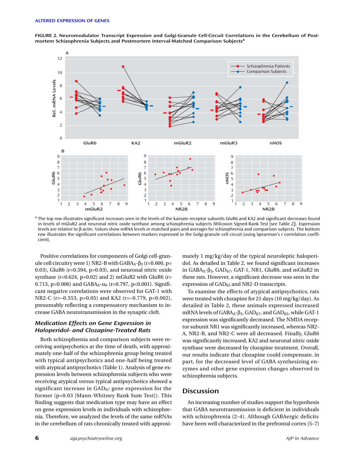**FIGURE 2. Neuromodulator Transcript Expression and Golgi-Granule Cell-Circuit Correlations in the Cerebellum of Postmortem Schizophrenia Subjects and Postmortem Interval-Matched Comparison Subjects<sup>a</sup>**



a The top row illustrates significant increases seen in the levels of the kainate receptor subunits GluR6 and KA2 and significant decreases found in levels of mGluR2 and neuronal nitric oxide synthase among schizophrenia subjects (Wilcoxon Signed-Rank Test [see Table 2]). Expression levels are relative to β-actin. Values show mRNA levels in matched pairs and averages for schizophrenia and comparison subjects. The bottom row illustrates the significant correlations between markers expressed in the Golgi-granule cell circuit (using Spearman's r correlation coefficient).

Positive correlations for components of Golgi cell-granule cell circuitry were 1) NR2-B with  $GABA_A-β_3$  (r=0.600, p= 0.03), GluR6 (r=0.594, p=0.03), and neuronal nitric oxide synthase (r=0.624, p=0.02) and 2) mGluR2 with GluR6 (r= 0.713, p=0.006) and GABA<sub>A</sub>- $\alpha_6$  (r=0.797, p<0.001). Significant negative correlations were observed for GAT-1 with NR2-C (r=–0.553, p=0.05) and KA2 (r=–0.779, p=0.002), presumably reflecting a compensatory mechanism to increase GABA neurotransmission in the synaptic cleft.

### *Medication Effects on Gene Expression in Haloperidol- and Clozapine-Treated Rats*

Both schizophrenia and comparison subjects were receiving antipsychotics at the time of death, with approximately one-half of the schizophrenia group being treated with typical antipsychotics and one-half being treated with atypical antipsychotics (Table 1). Analysis of gene expression levels between schizophrenia subjects who were receiving atypical versus typical antipsychotics showed a significant increase in  $GAD_{67}$  gene expression for the former (p=0.03 [Mann-Whitney Rank Sum Test]). This finding suggests that medication type may have an effect on gene expression levels in individuals with schizophrenia. Therefore, we analyzed the levels of the same mRNAs in the cerebellum of rats chronically treated with approxi-

mately 1 mg/kg/day of the typical neuroleptic haloperidol. As detailed in Table 2, we found significant increases in GABA<sub>A</sub>- $β_3$ , GAD<sub>67</sub>, GAT-1, NR1, GluR6, and mGluR2 in these rats. However, a significant decrease was seen in the expression of GAD<sub>65</sub> and NR2-D transcripts.

To examine the effects of atypical antipsychotics, rats were treated with clozapine for 21 days (10 mg/kg/day). As detailed in Table 2, these animals expressed increased mRNA levels of GABA<sub>A</sub>- $\beta_3$ , GAD<sub>67</sub>, and GAD<sub>65</sub>, while GAT-1 expression was significantly decreased. The NMDA receptor subunit NR1 was significantly increased, whereas NR2- A, NR2-B, and NR2-C were all decreased. Finally, GluR6 was significantly increased, KA2 and neuronal nitric oxide synthase were decreased by clozapine treatment. Overall, our results indicate that clozapine could compensate, in part, for the decreased level of GABA synthesizing enzymes and other gene expression changes observed in schizophrenia subjects.

## **Discussion**

An increasing number of studies support the hypothesis that GABA neurotransmission is deficient in individuals with schizophrenia (2–4). Although GABAergic deficits have been well characterized in the prefrontal cortex (5–7)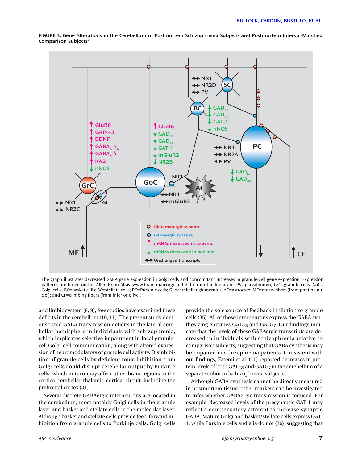

**FIGURE 3. Gene Alterations in the Cerebellum of Postmortem Schizophrenia Subjects and Postmortem Interval-Matched Comparison Subjects<sup>a</sup>**

a The graph illustrates decreased GABA gene expression in Golgi cells and concomitant increases in granule-cell gene expression. Expression patterns are based on the Allen Brain Atlas (www.brain-map.org) and data from the literature. PV=parvalbumin; GrC=granule cells; GoC= Golgi cells; BC=basket cells; SC=stellate cells; PC=Purkinje cells; GL=cerebellar glomerulus; AC=astrocyte; MF=mossy fibers (from pontine nuclei); and CF=climbing fibers (from inferior olive).

and limbic system (8, 9), few studies have examined these deficits in the cerebellum (10, 11). The present study demonstrated GABA transmission deficits in the lateral cerebellar hemisphere in individuals with schizophrenia, which implicates selective impairment in local granulecell Golgi-cell communication, along with altered expression of neuromodulators of granule cell activity. Disinhibition of granule cells by deficient tonic inhibition from Golgi cells could disrupt cerebellar output by Purkinje cells, which in turn may affect other brain regions in the cortico-cerebellar-thalamic-cortical circuit, including the prefrontal cortex (34).

Several discrete GABAergic interneurons are located in the cerebellum, most notably Golgi cells in the granule layer and basket and stellate cells in the molecular layer. Although basket and stellate cells provide feed-forward inhibition from granule cells to Purkinje cells, Golgi cells provide the sole source of feedback inhibition to granule cells (35). All of these interneurons express the GABA synthesizing enzymes  $GAD_{65}$  and  $GAD_{67}$ . Our findings indicate that the levels of these GABAergic transcripts are decreased in individuals with schizophrenia relative to comparison subjects, suggesting that GABA synthesis may be impaired in schizophrenia patients. Consistent with our findings, Fatemi et al. (11) reported decreases in protein levels of both  $GAD_{65}$  and  $GAD_{67}$  in the cerebellum of a separate cohort of schizophrenia subjects.

Although GABA synthesis cannot be directly measured in postmortem tissue, other markers can be investigated to infer whether GABAergic transmission is reduced. For example, decreased levels of the presynaptic GAT-1 may reflect a compensatory attempt to increase synaptic GABA. Mature Golgi and basket/stellate cells express GAT-1, while Purkinje cells and glia do not (36), suggesting that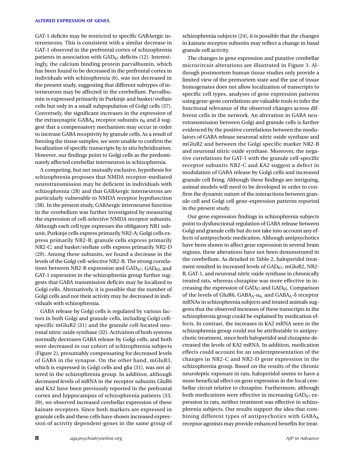GAT-1 deficits may be restricted to specific GABAergic interneurons. This is consistent with a similar decrease in GAT-1 observed in the prefrontal cortex of schizophrenia patients in association with  $GAD_{67}$  deficits (12). Interestingly, the calcium binding protein parvalbumin, which has been found to be decreased in the prefrontal cortex in individuals with schizophrenia (6), was not decreased in the present study, suggesting that different subtypes of interneurons may be affected in the cerebellum. Parvalbumin is expressed primarily in Purkinje and basket/stellate cells but only in a small subpopulation of Golgi cells (37). Conversely, the significant increases in the expression of the extrasynaptic GABA<sub>A</sub> receptor subunits  $α<sub>6</sub>$  and  $δ$  suggest that a compensatory mechanism may occur in order to increase GABA receptivity by granule cells. As a result of freezing the tissue samples, we were unable to confirm the localization of specific transcripts by in situ hybridization. However, our findings point to Golgi cells as the predominately affected cerebellar interneuron in schizophrenia.

A competing, but not mutually exclusive, hypothesis for schizophrenia proposes that NMDA receptor-mediated neurotransmission may be deficient in individuals with schizophrenia (28) and that GABAergic interneurons are particularly vulnerable to NMDA receptor hypofunction (38). In the present study, GABAergic interneuron function in the cerebellum was further investigated by measuring the expression of cell-selective NMDA receptor subunits. Although each cell type expresses the obligatory NR1 subunit, Purkinje cells express primarily NR2-A; Golgi cells express primarily NR2-B; granule cells express primarily NR2-C; and basket/stellate cells express primarily NR2-D (29). Among these subunits, we found a decrease in the levels of the Golgi cell-selective NR2-B. The strong correlations between NR2-B expression and  $GAD_{67}$ ,  $GAD_{65}$  and GAT-1 expression in the schizophrenia group further suggests that GABA transmission deficits may be localized to Golgi cells. Alternatively, it is possible that the number of Golgi cells and not their activity may be decreased in individuals with schizophrenia.

GABA release by Golgi cells is regulated by various factors in both Golgi and granule cells, including Golgi cellspecific mGluR2 (31) and the granule cell-located neuronal nitric oxide synthase (32). Activation of both systems normally decreases GABA release by Golgi cells, and both were decreased in our cohort of schizophrenia subjects (Figure 2), presumably compensating for decreased levels of GABA in the synapse. On the other hand, mGluR3, which is expressed in Golgi cells and glia (31), was not altered in the schizophrenia group. In addition, although decreased levels of mRNA in the receptor subunits GluR6 and KA2 have been previously reported in the prefrontal cortex and hippocampus of schizophrenia patients (33, 39), we observed increased cerebellar expression of these kainate receptors. Since both markers are expressed in granule cells and these cells have shown increased expression of activity dependent-genes in the same group of schizophrenia subjects (24), it is possible that the changes in kainate receptor subunits may reflect a change in basal granule cell activity.

The changes in gene expression and putative cerebellar microcircuit alterations are illustrated in Figure 3. Although postmortem human tissue studies only provide a limited view of the premortem state and the use of tissue homogenates does not allow localization of transcripts to specific cell types, analyses of gene expression patterns using gene-gene correlations are valuable tools to infer the functional relevance of the observed changes across different cells in the network. An alteration in GABA neurotransmission between Golgi and granule cells is further evidenced by the positive correlations between the modulators of GABA release neuronal nitric oxide synthase and mGluR2 and between the Golgi specific marker NR2-B and neuronal nitric oxide synthase. Moreover, the negative correlations for GAT-1 with the granule cell-specific receptor subunits NR2-C and KA2 suggest a defect in modulation of GABA release by Golgi cells and increased granule cell firing. Although these findings are intriguing, animal models will need to be developed in order to confirm the dynamic nature of the interactions between granule cell and Golgi cell gene-expression patterns reported in the present study.

Our gene expression findings in schizophrenia subjects point to dysfunctional regulation of GABA release between Golgi and granule cells but do not take into account any effects of antipsychotic medication. Although antipsychotics have been shown to affect gene expression in several brain regions, these alterations have not been demonstrated in the cerebellum. As detailed in Table 2, haloperidol treatment resulted in increased levels of GAD<sub>67</sub>, mGluR2, NR2-B, GAT-1, and neuronal nitric oxide synthase in chronically treated rats, whereas clozapine was more effective in increasing the expression of  $GAD_{67}$  and  $GAD_{65}$ . Comparison of the levels of GluR6,  $GABA_A-\alpha_6$ , and  $GABA_A-\delta$  receptor mRNAs in schizophrenia subjects and treated animals suggests that the observed increases of these transcripts in the schizophrenia group could be explained by medication effects. In contrast, the increases in KA2 mRNA seen in the schizophrenia group could not be attributable to antipsychotic treatment, since both haloperidol and clozapine decreased the levels of KA2 mRNA. In addition, medication effects could account for an underrepresentation of the changes in NR2-C and NR2-D gene expression in the schizophrenia group. Based on the results of the chronic neuroleptic exposure in rats, haloperidol seems to have a more beneficial effect on gene expression in the local cerebellar circuit relative to clozapine. Furthermore, although both medications were effective in increasing  $GAD_{67}$  expression in rats, neither treatment was effective in schizophrenia subjects. Our results support the idea that combining different types of antipsychotics with GABAA receptor agonists may provide enhanced benefits for treat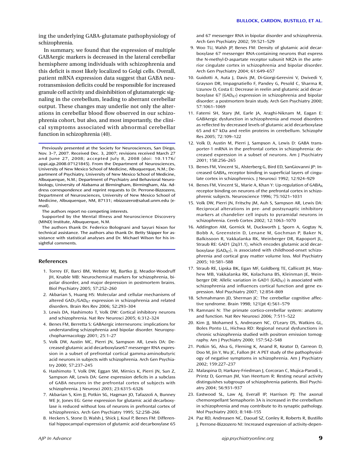ing the underlying GABA-glutamate pathophysiology of schizophrenia.

In summary, we found that the expression of multiple GABAergic markers is decreased in the lateral cerebellar hemisphere among individuals with schizophrenia and this deficit is most likely localized to Golgi cells. Overall, patient mRNA expression data suggest that GABA neurotransmission deficits could be responsible for increased granule cell activity and disinhibition of glutamatergic signaling in the cerebellum, leading to aberrant cerebellar output. These changes may underlie not only the alterations in cerebellar blood flow observed in our schizophrenia cohort, but also, and most importantly, the clinical symptoms associated with abnormal cerebellar function in schizophrenia (40).

Previously presented at the Society for Neurosciences, San Diego, Nov. 3–7, 2007. Received Dec. 3, 2007; revisions received March 27 and June 27, 2008; accepted July 8, 2008 (doi: 10.1176/ appi.aip.2008.07121845). From the Department of Neurosciences, University of New Mexico School of Medicine, Albuquerque, N.M.; Department of Psychiatry, University of New Mexico School of Medicine, Albuquerque, N.M.; Department of Psychiatry and Behavioral Neurobiology, University of Alabama at Birmingham, Birmingham, Ala. Address correspondence and reprint requests to Dr. Perrone-Bizzozero, Department of Neurosciences, University of New Mexico School of Medicine, Albuquerque, NM, 87131; nbizzozero@salud.unm.edu (email).

The authors report no competing interests.

Supported by the Mental Illness and Neuroscience Discovery (MIND) Institute, Albuquerque, N.M.

The authors thank Dr. Federico Bolognani and Sayuri Nixon for technical assistance. The authors also thank Dr. Betty Skipper for assistance with statistical analyses and Dr. Michael Wilson for his insightful comments.

#### **References**

- 1. Torrey EF, Barci BM, Webster MJ, Bartko JJ, Meador-Woodruff JH, Knable MB: Neurochemical markers for schizophrenia, bipolar disorder, and major depression in postmortem brains. Biol Psychiatry 2005; 57:252–260
- 2. Akbarian S, Huang HS: Molecular and cellular mechanisms of altered  $GAD<sub>1</sub>/GAD<sub>67</sub>$  expression in schizophrenia and related disorders. Brain Res Rev 2006; 52:293–304
- 3. Lewis DA, Hashimoto T, Volk DW: Cortical inhibitory neurons and schizophrenia. Nat Rev Neurosci 2005; 6:312–324
- 4. Benes FM, Berretta S: GABAergic interneurons: implications for understanding schizophrenia and bipolar disorder. Neuropsychopharmacology 2001; 25:1–27
- 5. Volk DW, Austin MC, Pierri JN, Sampson AR, Lewis DA: Decreased glutamic acid decarboxylase67 messenger RNA expression in a subset of prefrontal cortical gamma-aminobutyric acid neurons in subjects with schizophrenia. Arch Gen Psychiatry 2000; 57:237–245
- 6. Hashimoto T, Volk DW, Eggan SM, Mirnics K, Pierri JN, Sun Z, Sampson AR, Lewis DA: Gene expression deficits in a subclass of GABA neurons in the prefrontal cortex of subjects with schizophrenia. J Neurosci 2003; 23:6315–6326
- 7. Akbarian S, Kim JJ, Potkin SG, Hagman JO, Tafazzoli A, Bunney WE Jr, Jones EG: Gene expression for glutamic acid decarboxylase is reduced without loss of neurons in prefrontal cortex of schizophrenics. Arch Gen Psychiatry 1995; 52:258–266
- 8. Heckers S, Stone D, Walsh J, Shick J, Koul P, Benes FM: Differential hippocampal expression of glutamic acid decarboxylase 65

and 67 messenger RNA in bipolar disorder and schizophrenia. Arch Gen Psychiatry 2002; 59:521–529

- 9. Woo TU, Walsh JP, Benes FM: Density of glutamic acid decarboxylase 67 messenger RNA-containing neurons that express the N-methyl-D-aspartate receptor subunit NR2A in the anterior cingulate cortex in schizophrenia and bipolar disorder. Arch Gen Psychiatry 2004; 61:649–657
- 10. Guidotti A, Auta J, Davis JM, Di-Giorgi-Gerevini V, Dwivedi Y, Grayson DR, Impagnatiello F, Pandey G, Pesold C, Sharma R, Uzunov D, Costa E: Decrease in reelin and glutamic acid decarboxylase 67 (GAD $_{67}$ ) expression in schizophrenia and bipolar disorder: a postmortem brain study. Arch Gen Psychiatry 2000; 57:1061–1069
- 11. Fatemi SH, Stary JM, Earle JA, Araghi-Niknam M, Eagan E: GABAergic dysfunction in schizophrenia and mood disorders as reflected by decreased levels of glutamic acid decarboxylase 65 and 67 kDa and reelin proteins in cerebellum. Schizophr Res 2005; 72:109–122
- 12. Volk D, Austin M, Pierri J, Sampson A, Lewis D: GABA transporter-1 mRNA in the prefrontal cortex in schizophrenia: decreased expression in a subset of neurons. Am J Psychiatry 2001; 158:256–265
- 13. Benes FM, Vincent SL, Alsterberg G, Bird ED, SanGiovanni JP: Increased GABAA receptor binding in superficial layers of cingulate cortex in schizophrenics. J Neurosci 1992; 12:924–929
- 14. Benes FM, Vincent SL, Marie A, Khan Y: Up-regulation of GABAA receptor binding on neurons of the prefrontal cortex in schizophrenic subjects. Neuroscience 1996; 75:1021–1031
- 15. Volk DW, Pierri JN, Fritschy JM, Auh S, Sampson AR, Lewis DA: Reciprocal alterations in pre- and postsynaptic inhibitory markers at chandelier cell inputs to pyramidal neurons in schizophrenia. Cereb Cortex 2002; 12:1063–1070
- 16. Addington AM, Gornick M, Duckworth J, Sporn A, Gogtay N, Bobb A, Greenstein D, Lenane M, Gochman P, Baker N, Balkissoon R, Vakkalanka RK, Weinberger DR, Rapoport JL, Straub RE: GAD1 (2q31.1), which encodes glutamic acid decarboxylase (GAD $_{67}$ ), is associated with childhood-onset schizophrenia and cortical gray matter volume loss. Mol Psychiatry 2005; 10:581–588
- 17. Straub RE, Lipska BK, Egan MF, Goldberg TE, Callicott JH, Mayhew MB, Vakkalanka RK, Kolachana BS, Kleinman JE, Weinberger DR: Allelic variation in GAD1 (GAD<sub>67</sub>) is associated with schizophrenia and influences cortical function and gene expression. Mol Psychiatry 2007; 12:854–869
- 18. Schmahmann JD, Sherman JC: The cerebellar cognitive affective syndrome. Brain 1998; 121(pt 4):561–579
- 19. Ramnani N: The primate cortico-cerebellar system: anatomy and function. Nat Rev Neurosci 2006; 7:511–522
- 20. Kim JJ, Mohamed S, Andreasen NC, O'Leary DS, Watkins GL, Boles Ponto LL, Hichwa RD: Regional neural dysfunctions in chronic schizophrenia studied with positron emission tomography. Am J Psychiatry 2000; 157:542–548
- 21. Potkin SG, Alva G, Fleming K, Anand R, Keator D, Carreon D, Doo M, Jin Y, Wu JC, Fallon JH: A PET study of the pathophysiology of negative symptoms in schizophrenia. Am J Psychiatry 2002; 159:227–237
- 22. Malaspina D, Harkavy-Friedman J, Corcoran C, Mujica-Parodi L, Printz D, Gorman JM, Van Heertum R: Resting neural activity distinguishes subgroups of schizophrenia patients. Biol Psychiatry 2004; 56:931–937
- 23. Eastwood SL, Law AJ, Everall IP, Harrison PJ: The axonal chemorepellant Semaphorin 3A is increased in the cerebellum in schizophrenia and may contribute to its synaptic pathology. Mol Psychiatry 2003; 8:148–155
- 24. Paz RD, Andreasen NC, Daoud SZ, Conley R, Roberts R, Bustillo J, Perrone-Bizzozero NI: Increased expression of activity-depen-